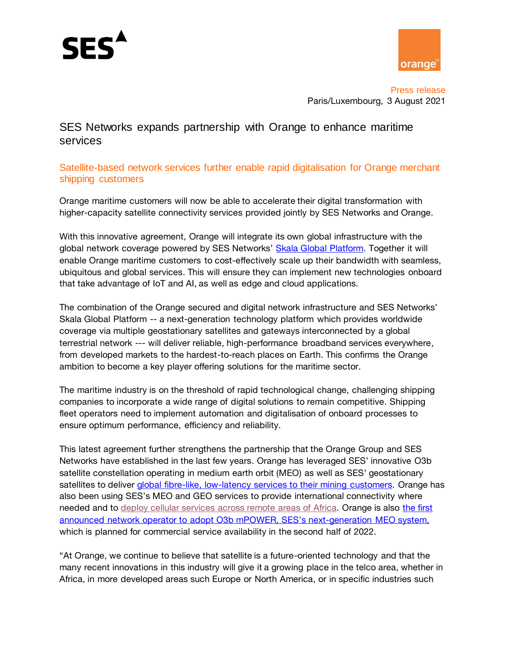



Press release Paris/Luxembourg, 3 August 2021

SES Networks expands partnership with Orange to enhance maritime services

## Satellite-based network services further enable rapid digitalisation for Orange merchant shipping customers

Orange maritime customers will now be able to accelerate their digital transformation with higher-capacity satellite connectivity services provided jointly by SES Networks and Orange.

With this innovative agreement, Orange will integrate its own global infrastructure with the global network coverage powered by SES Networks' Skala [Global Platform.](http://www.ses.com/our-coverage/skala-global-platform) Together it will enable Orange maritime customers to cost-effectively scale up their bandwidth with seamless, ubiquitous and global services. This will ensure they can implement new technologies onboard that take advantage of IoT and AI, as well as edge and cloud applications.

The combination of the Orange secured and digital network infrastructure and SES Networks' Skala Global Platform -- a next-generation technology platform which provides worldwide coverage via multiple geostationary satellites and gateways interconnected by a global terrestrial network --- will deliver reliable, high-performance broadband services everywhere, from developed markets to the hardest-to-reach places on Earth. This confirms the Orange ambition to become a key player offering solutions for the maritime sector.

The maritime industry is on the threshold of rapid technological change, challenging shipping companies to incorporate a wide range of digital solutions to remain competitive. Shipping fleet operators need to implement automation and digitalisation of onboard processes to ensure optimum performance, efficiency and reliability.

This latest agreement further strengthens the partnership that the Orange Group and SES Networks have established in the last few years. Orange has leveraged SES' innovative O3b satellite constellation operating in medium earth orbit (MEO) as well as SES' geostationary satellites to deliver global fibre-like, low-latency services to [their mining customers.](https://www.ses.com/blog/transforming-mining-sector-high-performance-connectivity) Orange has also been using SES's MEO and GEO services to provide international connectivity where needed and to deploy cellular [services across remote areas of Africa.](https://www.ses.com/press-release/orange-central-african-republic-and-ses-networks-partner-reinforce-connectivity) Orange is also the first [announced network operator to adopt](https://www.ses.com/press-release/orange-and-ses-team-o3b-mpower-communications-system-and-open-new-era-satellite) O3b mPOWER, SES's next-generation MEO system, which is planned for commercial service availability in the second half of 2022.

"At Orange, we continue to believe that satellite is a future-oriented technology and that the many recent innovations in this industry will give it a growing place in the telco area, whether in Africa, in more developed areas such Europe or North America, or in specific industries such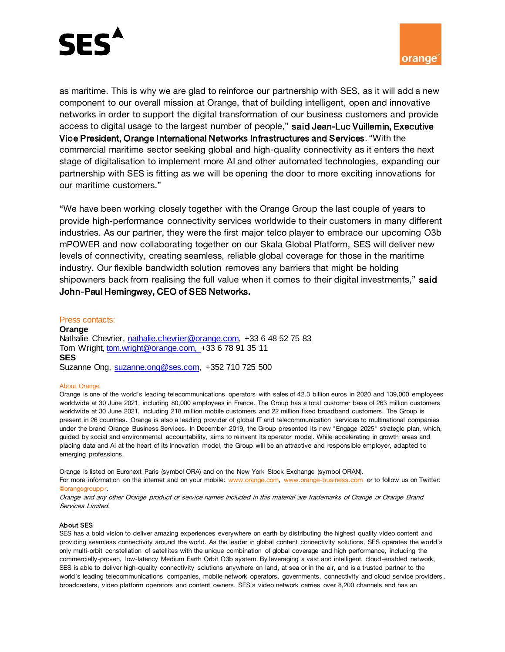



as maritime. This is why we are glad to reinforce our partnership with SES, as it will add a new component to our overall mission at Orange, that of building intelligent, open and innovative networks in order to support the digital transformation of our business customers and provide access to digital usage to the largest number of people," said Jean-Luc Vuillemin, Executive Vice President, Orange International Networks Infrastructures and Services. "With the commercial maritime sector seeking global and high-quality connectivity as it enters the next stage of digitalisation to implement more AI and other automated technologies, expanding our partnership with SES is fitting as we will be opening the door to more exciting innovations for our maritime customers."

"We have been working closely together with the Orange Group the last couple of years to provide high-performance connectivity services worldwide to their customers in many different industries. As our partner, they were the first major telco player to embrace our upcoming O3b mPOWER and now collaborating together on our Skala Global Platform, SES will deliver new levels of connectivity, creating seamless, reliable global coverage for those in the maritime industry. Our flexible bandwidth solution removes any barriers that might be holding shipowners back from realising the full value when it comes to their digital investments," said John-Paul Hemingway, CEO of SES Networks.

Press contacts: **Orange** Nathalie Chevrier, [nathalie.chevrier@orange.com,](mailto:nathalie.chevrier@orange.com) +33 6 48 52 75 83 Tom Wright[, tom.wright@orange.com,](mailto:tom.wright@orange.com) +33 6 78 91 35 11 **SES** Suzanne Ong, [suzanne.ong@ses.com,](mailto:suzanne.ong@ses.com) +352 710 725 500

## About Orange

Orange is one of the world's leading telecommunications operators with sales of 42.3 billion euros in 2020 and 139,000 employees worldwide at 30 June 2021, including 80,000 employees in France. The Group has a total customer base of 263 million customers worldwide at 30 June 2021, including 218 million mobile customers and 22 million fixed broadband customers. The Group is present in 26 countries. Orange is also a leading provider of global IT and telecommunication services to multinational companies under the brand Orange Business Services. In December 2019, the Group presented its new "Engage 2025" strategic plan, which, guided by social and environmental accountability, aims to reinvent its operator model. While accelerating in growth areas and placing data and AI at the heart of its innovation model, the Group will be an attractive and responsible employer, adapted to emerging professions.

Orange is listed on Euronext Paris (symbol ORA) and on the New York Stock Exchange (symbol ORAN). For more information on the internet and on your mobile: [www.orange.com,](http://www.orange.com/) [www.orange-business.com](http://www.orange-business.com/) or to follow us on Twitter: @orangegrouppr.

Orange and any other Orange product or service names included in this material are trademarks of Orange or Orange Brand Services Limited.

## About SES

SES has a bold vision to deliver amazing experiences everywhere on earth by distributing the highest quality video content and providing seamless connectivity around the world. As the leader in global content connectivity solutions, SES operates the world's only multi-orbit constellation of satellites with the unique combination of global coverage and high performance, including the commercially-proven, low-latency Medium Earth Orbit O3b system. By leveraging a vast and intelligent, cloud-enabled network, SES is able to deliver high-quality connectivity solutions anywhere on land, at sea or in the air, and is a trusted partner to the world's leading telecommunications companies, mobile network operators, governments, connectivity and cloud service providers, broadcasters, video platform operators and content owners. SES's video network carries over 8,200 channels and has an